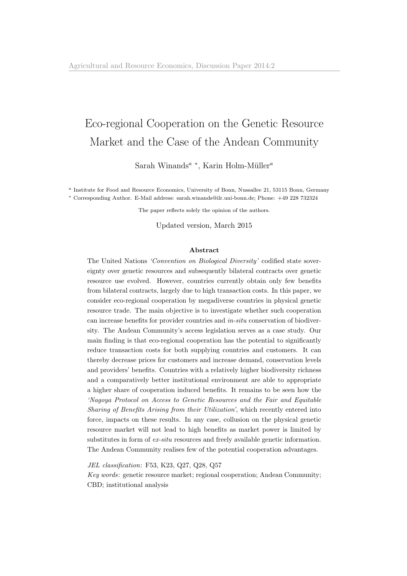# <span id="page-0-0"></span>Eco-regional Cooperation on the Genetic Resource Market and the Case of the Andean Community

Sarah Winands<sup>a</sup> \*, Karin Holm-Müller<sup>a</sup>

<sup>a</sup> Institute for Food and Resource Economics, University of Bonn, Nussallee 21, 53115 Bonn, Germany <sup>∗</sup> Corresponding Author. E-Mail address: sarah.winands@ilr.uni-bonn.de; Phone: +49 228 732324

The paper reflects solely the opinion of the authors.

Updated version, March 2015

### Abstract

The United Nations 'Convention on Biological Diversity' codified state sovereignty over genetic resources and subsequently bilateral contracts over genetic resource use evolved. However, countries currently obtain only few benefits from bilateral contracts, largely due to high transaction costs. In this paper, we consider eco-regional cooperation by megadiverse countries in physical genetic resource trade. The main objective is to investigate whether such cooperation can increase benefits for provider countries and in-situ conservation of biodiversity. The Andean Community's access legislation serves as a case study. Our main finding is that eco-regional cooperation has the potential to significantly reduce transaction costs for both supplying countries and customers. It can thereby decrease prices for customers and increase demand, conservation levels and providers' benefits. Countries with a relatively higher biodiversity richness and a comparatively better institutional environment are able to appropriate a higher share of cooperation induced benefits. It remains to be seen how the 'Nagoya Protocol on Access to Genetic Resources and the Fair and Equitable Sharing of Benefits Arising from their Utilization', which recently entered into force, impacts on these results. In any case, collusion on the physical genetic resource market will not lead to high benefits as market power is limited by substitutes in form of  $ex-situ$  resources and freely available genetic information. The Andean Community realises few of the potential cooperation advantages.

JEL classification: F53, K23, Q27, Q28, Q57

Key words: genetic resource market; regional cooperation; Andean Community; CBD; institutional analysis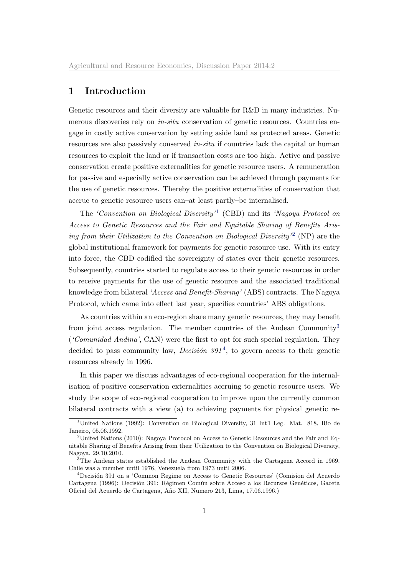## <span id="page-1-0"></span>1 Introduction

Genetic resources and their diversity are valuable for R&D in many industries. Numerous discoveries rely on *in-situ* conservation of genetic resources. Countries engage in costly active conservation by setting aside land as protected areas. Genetic resources are also passively conserved in-situ if countries lack the capital or human resources to exploit the land or if transaction costs are too high. Active and passive conservation create positive externalities for genetic resource users. A remuneration for passive and especially active conservation can be achieved through payments for the use of genetic resources. Thereby the positive externalities of conservation that accrue to genetic resource users can–at least partly–be internalised.

The 'Convention on Biological Diversity'<sup>[1](#page-0-0)</sup> (CBD) and its 'Nagoya Protocol on Access to Genetic Resources and the Fair and Equitable Sharing of Benefits Aris-ing from their Utilization to the Convention on Biological Diversity'<sup>[2](#page-0-0)</sup> (NP) are the global institutional framework for payments for genetic resource use. With its entry into force, the CBD codified the sovereignty of states over their genetic resources. Subsequently, countries started to regulate access to their genetic resources in order to receive payments for the use of genetic resource and the associated traditional knowledge from bilateral 'Access and Benefit-Sharing' (ABS) contracts. The Nagoya Protocol, which came into effect last year, specifies countries' ABS obligations.

As countries within an eco-region share many genetic resources, they may benefit from joint access regulation. The member countries of the Andean Community<sup>[3](#page-0-0)</sup> ('Comunidad Andina', CAN) were the first to opt for such special regulation. They decided to pass community law, *Decision*  $391<sup>4</sup>$  $391<sup>4</sup>$  $391<sup>4</sup>$ , to govern access to their genetic resources already in 1996.

In this paper we discuss advantages of eco-regional cooperation for the internalisation of positive conservation externalities accruing to genetic resource users. We study the scope of eco-regional cooperation to improve upon the currently common bilateral contracts with a view (a) to achieving payments for physical genetic re-

<sup>1</sup>United Nations (1992): Convention on Biological Diversity, 31 Int'l Leg. Mat. 818, Rio de Janeiro, 05.06.1992.

<sup>2</sup>United Nations (2010): Nagoya Protocol on Access to Genetic Resources and the Fair and Equitable Sharing of Benefits Arising from their Utilization to the Convention on Biological Diversity, Nagoya, 29.10.2010.

<sup>&</sup>lt;sup>3</sup>The Andean states established the Andean Community with the Cartagena Accord in 1969. Chile was a member until 1976, Venezuela from 1973 until 2006.

<sup>&</sup>lt;sup>4</sup>Decisión 391 on a 'Common Regime on Access to Genetic Resources' (Comision del Acuerdo Cartagena (1996): Decisión 391: Régimen Común sobre Acceso a los Recursos Genéticos, Gaceta Oficial del Acuerdo de Cartagena, A˜no XII, Numero 213, Lima, 17.06.1996.)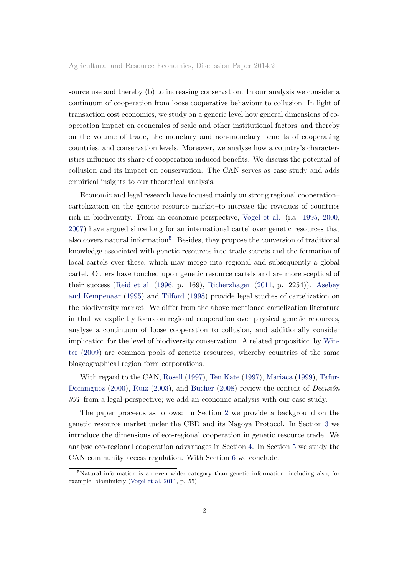source use and thereby (b) to increasing conservation. In our analysis we consider a continuum of cooperation from loose cooperative behaviour to collusion. In light of transaction cost economics, we study on a generic level how general dimensions of cooperation impact on economies of scale and other institutional factors–and thereby on the volume of trade, the monetary and non-monetary benefits of cooperating countries, and conservation levels. Moreover, we analyse how a country's characteristics influence its share of cooperation induced benefits. We discuss the potential of collusion and its impact on conservation. The CAN serves as case study and adds empirical insights to our theoretical analysis.

Economic and legal research have focused mainly on strong regional cooperation– cartelization on the genetic resource market–to increase the revenues of countries rich in biodiversity. From an economic perspective, [Vogel et al.](#page-31-0) (i.a. [1995,](#page-30-0) [2000,](#page-31-0) [2007\)](#page-31-1) have argued since long for an international cartel over genetic resources that also covers natural information<sup>[5](#page-0-0)</sup>. Besides, they propose the conversion of traditional knowledge associated with genetic resources into trade secrets and the formation of local cartels over these, which may merge into regional and subsequently a global cartel. Others have touched upon genetic resource cartels and are more sceptical of their success [\(Reid et al.](#page-30-1) [\(1996,](#page-30-1) p. 169), [Richerzhagen](#page-30-2) [\(2011,](#page-30-2) p. 2254)). [Asebey](#page-28-0) [and Kempenaar](#page-28-0) [\(1995\)](#page-28-0) and [Tilford](#page-30-3) [\(1998\)](#page-30-3) provide legal studies of cartelization on the biodiversity market. We differ from the above mentioned cartelization literature in that we explicitly focus on regional cooperation over physical genetic resources, analyse a continuum of loose cooperation to collusion, and additionally consider implication for the level of biodiversity conservation. A related proposition by [Win](#page-31-2)[ter](#page-31-2) [\(2009\)](#page-31-2) are common pools of genetic resources, whereby countries of the same biogeographical region form corporations.

With regard to the CAN, [Rosell](#page-30-4) [\(1997\)](#page-30-4), [Ten Kate](#page-30-5) [\(1997\)](#page-30-5), [Mariaca](#page-29-0) [\(1999\)](#page-29-0), [Tafur-](#page-30-6)[Dominguez](#page-30-6) [\(2000\)](#page-30-6), [Ruiz](#page-30-7) [\(2003\)](#page-30-7), and [Bucher](#page-28-1) [\(2008\)](#page-28-1) review the content of  $Decision$ 391 from a legal perspective; we add an economic analysis with our case study.

The paper proceeds as follows: In Section [2](#page-3-0) we provide a background on the genetic resource market under the CBD and its Nagoya Protocol. In Section [3](#page-5-0) we introduce the dimensions of eco-regional cooperation in genetic resource trade. We analyse eco-regional cooperation advantages in Section [4.](#page-7-0) In Section [5](#page-15-0) we study the CAN community access regulation. With Section [6](#page-25-0) we conclude.

<sup>&</sup>lt;sup>5</sup>Natural information is an even wider category than genetic information, including also, for example, biomimicry [\(Vogel et al.](#page-31-3) [2011,](#page-31-3) p. 55).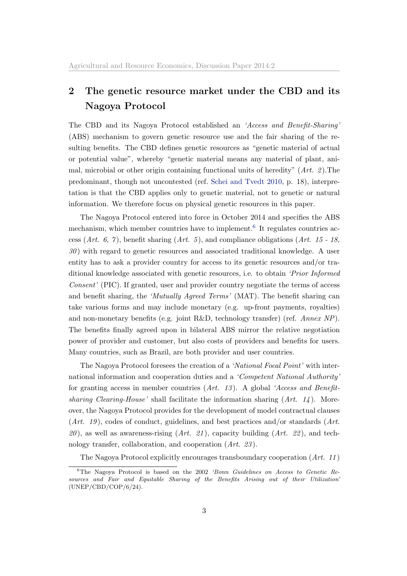## <span id="page-3-0"></span>2 The genetic resource market under the CBD and its Nagoya Protocol

The CBD and its Nagoya Protocol established an 'Access and Benefit-Sharing' (ABS) mechanism to govern genetic resource use and the fair sharing of the resulting benefits. The CBD defines genetic resources as "genetic material of actual or potential value", whereby "genetic material means any material of plant, animal, microbial or other origin containing functional units of heredity" (Art. 2). The predominant, though not uncontested (ref. [Schei and Tvedt](#page-30-8) [2010,](#page-30-8) p. 18), interpretation is that the CBD applies only to genetic material, not to genetic or natural information. We therefore focus on physical genetic resources in this paper.

The Nagoya Protocol entered into force in October 2014 and specifies the ABS mechanism, which member countries have to implement.<sup>[6](#page-0-0)</sup> It regulates countries access (Art. 6, 7), benefit sharing (Art. 5), and compliance obligations (Art. 15 - 18,  $30$ ) with regard to genetic resources and associated traditional knowledge. A user entity has to ask a provider country for access to its genetic resources and/or traditional knowledge associated with genetic resources, i.e. to obtain 'Prior Informed Consent' (PIC). If granted, user and provider country negotiate the terms of access and benefit sharing, the 'Mutually Agreed Terms' (MAT). The benefit sharing can take various forms and may include monetary (e.g. up-front payments, royalties) and non-monetary benefits (e.g. joint R&D, technology transfer) (ref. Annex NP). The benefits finally agreed upon in bilateral ABS mirror the relative negotiation power of provider and customer, but also costs of providers and benefits for users. Many countries, such as Brazil, are both provider and user countries.

The Nagoya Protocol foresees the creation of a 'National Focal Point' with international information and cooperation duties and a 'Competent National Authority' for granting access in member countries  $(Art. 13)$ . A global 'Access and Benefitsharing Clearing-House' shall facilitate the information sharing  $(Art. 14)$ . Moreover, the Nagoya Protocol provides for the development of model contractual clauses  $(Art. 19)$ , codes of conduct, guidelines, and best practices and/or standards  $(Art. 19)$  $20$ , as well as awareness-rising  $(Art. 21)$ , capacity building  $(Art. 22)$ , and technology transfer, collaboration, and cooperation (Art. 23).

The Nagoya Protocol explicitly encourages transboundary cooperation (Art. 11 )

<sup>6</sup>The Nagoya Protocol is based on the 2002 'Bonn Guidelines on Access to Genetic Resources and Fair and Equitable Sharing of the Benefits Arising out of their Utilization (UNEP/CBD/COP/6/24).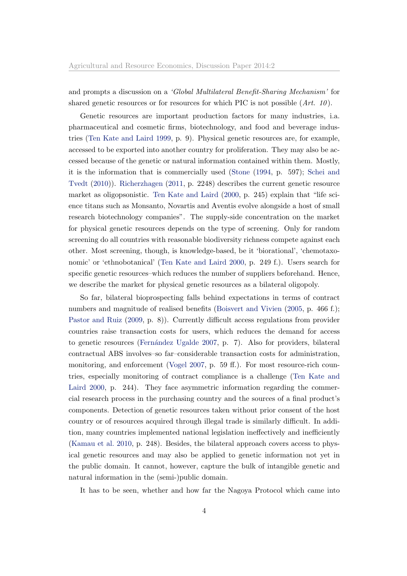and prompts a discussion on a 'Global Multilateral Benefit-Sharing Mechanism' for shared genetic resources or for resources for which PIC is not possible  $(Art. 10)$ .

Genetic resources are important production factors for many industries, i.a. pharmaceutical and cosmetic firms, biotechnology, and food and beverage industries [\(Ten Kate and Laird](#page-30-9) [1999,](#page-30-9) p. 9). Physical genetic resources are, for example, accessed to be exported into another country for proliferation. They may also be accessed because of the genetic or natural information contained within them. Mostly, it is the information that is commercially used [\(Stone](#page-30-10) [\(1994,](#page-30-10) p. 597); [Schei and](#page-30-8) [Tvedt](#page-30-8) [\(2010\)](#page-30-8)). [Richerzhagen](#page-30-2) [\(2011,](#page-30-2) p. 2248) describes the current genetic resource market as oligopsonistic. [Ten Kate and Laird](#page-30-11) [\(2000,](#page-30-11) p. 245) explain that "life science titans such as Monsanto, Novartis and Aventis evolve alongside a host of small research biotechnology companies". The supply-side concentration on the market for physical genetic resources depends on the type of screening. Only for random screening do all countries with reasonable biodiversity richness compete against each other. Most screening, though, is knowledge-based, be it 'biorational', 'chemotaxonomic' or 'ethnobotanical' [\(Ten Kate and Laird](#page-30-11) [2000,](#page-30-11) p. 249 f.). Users search for specific genetic resources–which reduces the number of suppliers beforehand. Hence, we describe the market for physical genetic resources as a bilateral oligopoly.

So far, bilateral bioprospecting falls behind expectations in terms of contract numbers and magnitude of realised benefits [\(Boisvert and Vivien](#page-28-2) [\(2005,](#page-28-2) p. 466 f.); [Pastor and Ruiz](#page-29-1) [\(2009,](#page-29-1) p. 8)). Currently difficult access regulations from provider countries raise transaction costs for users, which reduces the demand for access to genetic resources (Fernández Ugalde [2007,](#page-28-3) p. 7). Also for providers, bilateral contractual ABS involves–so far–considerable transaction costs for administration, monitoring, and enforcement [\(Vogel](#page-31-1) [2007,](#page-31-1) p. 59 ff.). For most resource-rich countries, especially monitoring of contract compliance is a challenge [\(Ten Kate and](#page-30-11) [Laird](#page-30-11) [2000,](#page-30-11) p. 244). They face asymmetric information regarding the commercial research process in the purchasing country and the sources of a final product's components. Detection of genetic resources taken without prior consent of the host country or of resources acquired through illegal trade is similarly difficult. In addition, many countries implemented national legislation ineffectively and inefficiently [\(Kamau et al.](#page-29-2) [2010,](#page-29-2) p. 248). Besides, the bilateral approach covers access to physical genetic resources and may also be applied to genetic information not yet in the public domain. It cannot, however, capture the bulk of intangible genetic and natural information in the (semi-)public domain.

It has to be seen, whether and how far the Nagoya Protocol which came into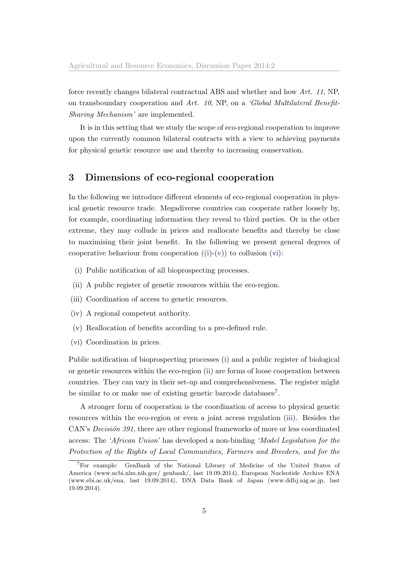force recently changes bilateral contractual ABS and whether and how Art. 11, NP, on transboundary cooperation and Art. 10, NP, on a 'Global Multilateral Benefit-Sharing Mechanism' are implemented.

It is in this setting that we study the scope of eco-regional cooperation to improve upon the currently common bilateral contracts with a view to achieving payments for physical genetic resource use and thereby to increasing conservation.

## <span id="page-5-0"></span>3 Dimensions of eco-regional cooperation

In the following we introduce different elements of eco-regional cooperation in physical genetic resource trade. Megadiverse countries can cooperate rather loosely by, for example, coordinating information they reveal to third parties. Or in the other extreme, they may collude in prices and reallocate benefits and thereby be close to maximising their joint benefit. In the following we present general degrees of cooperative behaviour from cooperation  $((i)-(v))$  $((i)-(v))$  $((i)-(v))$  $((i)-(v))$  $((i)-(v))$  to collusion  $(vi)$ :

- <span id="page-5-1"></span>(i) Public notification of all bioprospecting processes.
- <span id="page-5-4"></span>(ii) A public register of genetic resources within the eco-region.
- <span id="page-5-5"></span>(iii) Coordination of access to genetic resources.
- <span id="page-5-6"></span><span id="page-5-2"></span>(iv) A regional competent authority.
- (v) Reallocation of benefits according to a pre-defined rule.
- <span id="page-5-3"></span>(vi) Coordination in prices.

Public notification of bioprospecting processes [\(i\)](#page-5-1) and a public register of biological or genetic resources within the eco-region [\(ii\)](#page-5-4) are forms of loose cooperation between countries. They can vary in their set-up and comprehensiveness. The register might be similar to or make use of existing genetic barcode databases<sup>[7](#page-0-0)</sup>.

A stronger form of cooperation is the coordination of access to physical genetic resources within the eco-region or even a joint access regulation [\(iii\)](#page-5-5). Besides the CAN's *Decisión 391*, there are other regional frameworks of more or less coordinated access: The 'African Union' has developed a non-binding 'Model Legislation for the Protection of the Rights of Local Communities, Farmers and Breeders, and for the

<sup>7</sup>For example: GenBank of the National Library of Medicine of the United States of America (www.ncbi.nlm.nih.gov/ genbank/, last 19.09.2014), European Nucleotide Archive ENA (www.ebi.ac.uk/ena, last 19.09.2014), DNA Data Bank of Japan (www.ddbj.nig.ac.jp, last 19.09.2014).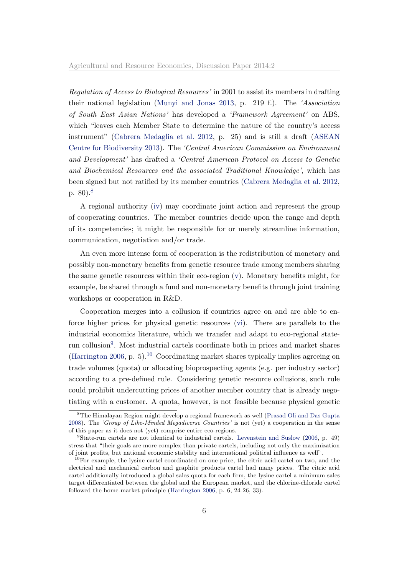Regulation of Access to Biological Resources' in 2001 to assist its members in drafting their national legislation [\(Munyi and Jonas](#page-29-3) [2013,](#page-29-3) p. 219 f.). The 'Association of South East Asian Nations' has developed a 'Framework Agreement' on ABS, which "leaves each Member State to determine the nature of the country's access instrument" [\(Cabrera Medaglia et al.](#page-28-4) [2012,](#page-28-4) p. 25) and is still a draft [\(ASEAN](#page-28-5) [Centre for Biodiversity](#page-28-5) [2013\)](#page-28-5). The 'Central American Commission on Environment and Development' has drafted a 'Central American Protocol on Access to Genetic and Biochemical Resources and the associated Traditional Knowledge', which has been signed but not ratified by its member countries [\(Cabrera Medaglia et al.](#page-28-4) [2012,](#page-28-4) p. 80).[8](#page-0-0)

A regional authority [\(iv\)](#page-5-6) may coordinate joint action and represent the group of cooperating countries. The member countries decide upon the range and depth of its competencies; it might be responsible for or merely streamline information, communication, negotiation and/or trade.

An even more intense form of cooperation is the redistribution of monetary and possibly non-monetary benefits from genetic resource trade among members sharing the same genetic resources within their eco-region [\(v\)](#page-5-2). Monetary benefits might, for example, be shared through a fund and non-monetary benefits through joint training workshops or cooperation in R&D.

Cooperation merges into a collusion if countries agree on and are able to enforce higher prices for physical genetic resources [\(vi\)](#page-5-3). There are parallels to the industrial economics literature, which we transfer and adapt to eco-regional state-run collusion<sup>[9](#page-0-0)</sup>. Most industrial cartels coordinate both in prices and market shares [\(Harrington](#page-29-4) [2006,](#page-29-4) p. 5).<sup>[10](#page-0-0)</sup> Coordinating market shares typically implies agreeing on trade volumes (quota) or allocating bioprospecting agents (e.g. per industry sector) according to a pre-defined rule. Considering genetic resource collusions, such rule could prohibit undercutting prices of another member country that is already negotiating with a customer. A quota, however, is not feasible because physical genetic

<sup>8</sup>The Himalayan Region might develop a regional framework as well [\(Prasad Oli and Das Gupta](#page-29-5) [2008\)](#page-29-5). The 'Group of Like-Minded Megadiverse Countries' is not (yet) a cooperation in the sense of this paper as it does not (yet) comprise entire eco-regions.

<sup>9</sup>State-run cartels are not identical to industrial cartels. [Levenstein and Suslow](#page-29-6) [\(2006,](#page-29-6) p. 49) stress that "their goals are more complex than private cartels, including not only the maximization of joint profits, but national economic stability and international political influence as well".

<sup>&</sup>lt;sup>10</sup>For example, the lysine cartel coordinated on one price, the citric acid cartel on two, and the electrical and mechanical carbon and graphite products cartel had many prices. The citric acid cartel additionally introduced a global sales quota for each firm, the lysine cartel a minimum sales target differentiated between the global and the European market, and the chlorine-chloride cartel followed the home-market-principle [\(Harrington](#page-29-4) [2006,](#page-29-4) p. 6, 24-26, 33).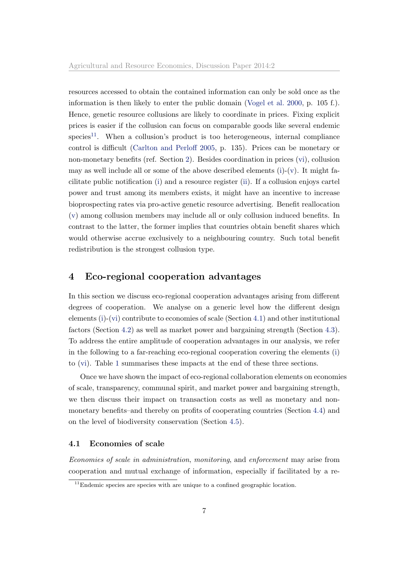resources accessed to obtain the contained information can only be sold once as the information is then likely to enter the public domain [\(Vogel et al.](#page-31-0) [2000,](#page-31-0) p. 105 f.). Hence, genetic resource collusions are likely to coordinate in prices. Fixing explicit prices is easier if the collusion can focus on comparable goods like several endemic species<sup>[11](#page-0-0)</sup>. When a collusion's product is too heterogeneous, internal compliance control is difficult [\(Carlton and Perloff](#page-28-6) [2005,](#page-28-6) p. 135). Prices can be monetary or non-monetary benefits (ref. Section [2\)](#page-3-0). Besides coordination in prices [\(vi\)](#page-5-3), collusion may as well include all or some of the above described elements  $(i)-(v)$  $(i)-(v)$  $(i)-(v)$ . It might facilitate public notification [\(i\)](#page-5-1) and a resource register [\(ii\)](#page-5-4). If a collusion enjoys cartel power and trust among its members exists, it might have an incentive to increase bioprospecting rates via pro-active genetic resource advertising. Benefit reallocation [\(v\)](#page-5-2) among collusion members may include all or only collusion induced benefits. In contrast to the latter, the former implies that countries obtain benefit shares which would otherwise accrue exclusively to a neighbouring country. Such total benefit redistribution is the strongest collusion type.

### <span id="page-7-0"></span>4 Eco-regional cooperation advantages

In this section we discuss eco-regional cooperation advantages arising from different degrees of cooperation. We analyse on a generic level how the different design elements [\(i\)](#page-5-1)-[\(vi\)](#page-5-3) contribute to economies of scale (Section [4.1\)](#page-7-1) and other institutional factors (Section [4.2\)](#page-9-0) as well as market power and bargaining strength (Section [4.3\)](#page-10-0). To address the entire amplitude of cooperation advantages in our analysis, we refer in the following to a far-reaching eco-regional cooperation covering the elements [\(i\)](#page-5-1) to [\(vi\)](#page-5-3). Table [1](#page-12-0) summarises these impacts at the end of these three sections.

Once we have shown the impact of eco-regional collaboration elements on economies of scale, transparency, communal spirit, and market power and bargaining strength, we then discuss their impact on transaction costs as well as monetary and nonmonetary benefits–and thereby on profits of cooperating countries (Section [4.4\)](#page-11-0) and on the level of biodiversity conservation (Section [4.5\)](#page-14-0).

### <span id="page-7-1"></span>4.1 Economies of scale

Economies of scale in administration, monitoring, and enforcement may arise from cooperation and mutual exchange of information, especially if facilitated by a re-

 $11$ Endemic species are species with are unique to a confined geographic location.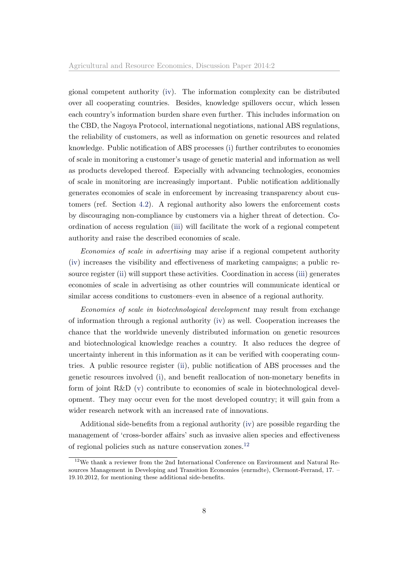gional competent authority [\(iv\)](#page-5-6). The information complexity can be distributed over all cooperating countries. Besides, knowledge spillovers occur, which lessen each country's information burden share even further. This includes information on the CBD, the Nagoya Protocol, international negotiations, national ABS regulations, the reliability of customers, as well as information on genetic resources and related knowledge. Public notification of ABS processes [\(i\)](#page-5-1) further contributes to economies of scale in monitoring a customer's usage of genetic material and information as well as products developed thereof. Especially with advancing technologies, economies of scale in monitoring are increasingly important. Public notification additionally generates economies of scale in enforcement by increasing transparency about customers (ref. Section [4.2\)](#page-9-0). A regional authority also lowers the enforcement costs by discouraging non-compliance by customers via a higher threat of detection. Coordination of access regulation [\(iii\)](#page-5-5) will facilitate the work of a regional competent authority and raise the described economies of scale.

Economies of scale in advertising may arise if a regional competent authority [\(iv\)](#page-5-6) increases the visibility and effectiveness of marketing campaigns; a public resource register [\(ii\)](#page-5-4) will support these activities. Coordination in access [\(iii\)](#page-5-5) generates economies of scale in advertising as other countries will communicate identical or similar access conditions to customers–even in absence of a regional authority.

Economies of scale in biotechnological development may result from exchange of information through a regional authority [\(iv\)](#page-5-6) as well. Cooperation increases the chance that the worldwide unevenly distributed information on genetic resources and biotechnological knowledge reaches a country. It also reduces the degree of uncertainty inherent in this information as it can be verified with cooperating countries. A public resource register [\(ii\)](#page-5-4), public notification of ABS processes and the genetic resources involved [\(i\)](#page-5-1), and benefit reallocation of non-monetary benefits in form of joint R&D [\(v\)](#page-5-2) contribute to economies of scale in biotechnological development. They may occur even for the most developed country; it will gain from a wider research network with an increased rate of innovations.

Additional side-benefits from a regional authority [\(iv\)](#page-5-6) are possible regarding the management of 'cross-border affairs' such as invasive alien species and effectiveness of regional policies such as nature conservation zones.[12](#page-0-0)

<sup>12</sup>We thank a reviewer from the 2nd International Conference on Environment and Natural Resources Management in Developing and Transition Economies (enrmdte), Clermont-Ferrand, 17. – 19.10.2012, for mentioning these additional side-benefits.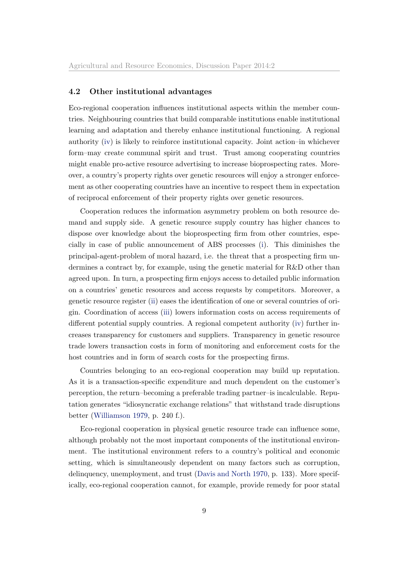### <span id="page-9-0"></span>4.2 Other institutional advantages

Eco-regional cooperation influences institutional aspects within the member countries. Neighbouring countries that build comparable institutions enable institutional learning and adaptation and thereby enhance institutional functioning. A regional authority [\(iv\)](#page-5-6) is likely to reinforce institutional capacity. Joint action–in whichever form–may create communal spirit and trust. Trust among cooperating countries might enable pro-active resource advertising to increase bioprospecting rates. Moreover, a country's property rights over genetic resources will enjoy a stronger enforcement as other cooperating countries have an incentive to respect them in expectation of reciprocal enforcement of their property rights over genetic resources.

Cooperation reduces the information asymmetry problem on both resource demand and supply side. A genetic resource supply country has higher chances to dispose over knowledge about the bioprospecting firm from other countries, especially in case of public announcement of ABS processes [\(i\)](#page-5-1). This diminishes the principal-agent-problem of moral hazard, i.e. the threat that a prospecting firm undermines a contract by, for example, using the genetic material for R&D other than agreed upon. In turn, a prospecting firm enjoys access to detailed public information on a countries' genetic resources and access requests by competitors. Moreover, a genetic resource register [\(ii\)](#page-5-4) eases the identification of one or several countries of origin. Coordination of access [\(iii\)](#page-5-5) lowers information costs on access requirements of different potential supply countries. A regional competent authority [\(iv\)](#page-5-6) further increases transparency for customers and suppliers. Transparency in genetic resource trade lowers transaction costs in form of monitoring and enforcement costs for the host countries and in form of search costs for the prospecting firms.

Countries belonging to an eco-regional cooperation may build up reputation. As it is a transaction-specific expenditure and much dependent on the customer's perception, the return–becoming a preferable trading partner–is incalculable. Reputation generates "idiosyncratic exchange relations" that withstand trade disruptions better [\(Williamson](#page-31-4) [1979,](#page-31-4) p. 240 f.).

Eco-regional cooperation in physical genetic resource trade can influence some, although probably not the most important components of the institutional environment. The institutional environment refers to a country's political and economic setting, which is simultaneously dependent on many factors such as corruption, delinquency, unemployment, and trust [\(Davis and North](#page-28-7) [1970,](#page-28-7) p. 133). More specifically, eco-regional cooperation cannot, for example, provide remedy for poor statal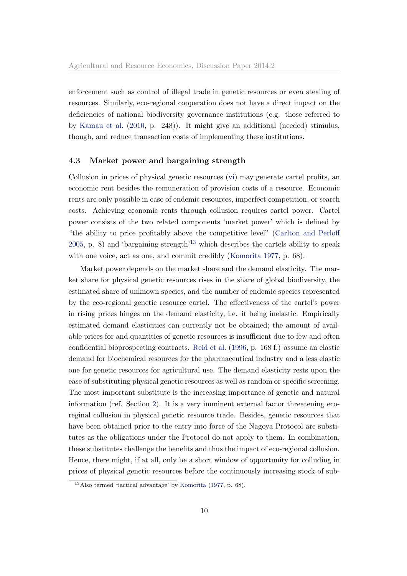enforcement such as control of illegal trade in genetic resources or even stealing of resources. Similarly, eco-regional cooperation does not have a direct impact on the deficiencies of national biodiversity governance institutions (e.g. those referred to by [Kamau et al.](#page-29-2) [\(2010,](#page-29-2) p. 248)). It might give an additional (needed) stimulus, though, and reduce transaction costs of implementing these institutions.

### <span id="page-10-0"></span>4.3 Market power and bargaining strength

Collusion in prices of physical genetic resources [\(vi\)](#page-5-3) may generate cartel profits, an economic rent besides the remuneration of provision costs of a resource. Economic rents are only possible in case of endemic resources, imperfect competition, or search costs. Achieving economic rents through collusion requires cartel power. Cartel power consists of the two related components 'market power' which is defined by "the ability to price profitably above the competitive level" [\(Carlton and Perloff](#page-28-6) [2005,](#page-28-6) p. 8) and 'bargaining strength'<sup>[13](#page-0-0)</sup> which describes the cartels ability to speak with one voice, act as one, and commit credibly [\(Komorita](#page-29-7) [1977,](#page-29-7) p. 68).

Market power depends on the market share and the demand elasticity. The market share for physical genetic resources rises in the share of global biodiversity, the estimated share of unknown species, and the number of endemic species represented by the eco-regional genetic resource cartel. The effectiveness of the cartel's power in rising prices hinges on the demand elasticity, i.e. it being inelastic. Empirically estimated demand elasticities can currently not be obtained; the amount of available prices for and quantities of genetic resources is insufficient due to few and often confidential bioprospecting contracts. [Reid et al.](#page-30-1) [\(1996,](#page-30-1) p. 168 f.) assume an elastic demand for biochemical resources for the pharmaceutical industry and a less elastic one for genetic resources for agricultural use. The demand elasticity rests upon the ease of substituting physical genetic resources as well as random or specific screening. The most important substitute is the increasing importance of genetic and natural information (ref. Section [2\)](#page-3-0). It is a very imminent external factor threatening ecoreginal collusion in physical genetic resource trade. Besides, genetic resources that have been obtained prior to the entry into force of the Nagoya Protocol are substitutes as the obligations under the Protocol do not apply to them. In combination, these substitutes challenge the benefits and thus the impact of eco-regional collusion. Hence, there might, if at all, only be a short window of opportunity for colluding in prices of physical genetic resources before the continuously increasing stock of sub-

 $13$ Also termed 'tactical advantage' by [Komorita](#page-29-7) [\(1977,](#page-29-7) p. 68).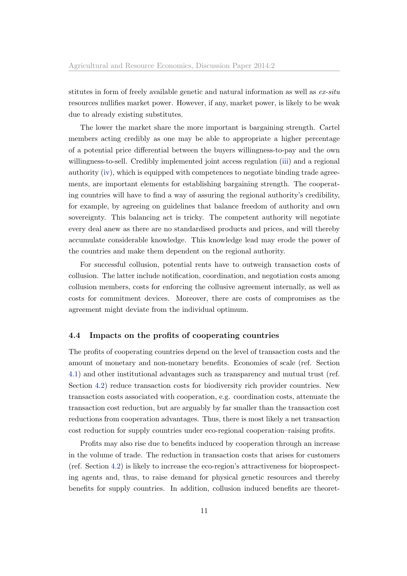stitutes in form of freely available genetic and natural information as well as  $ex\text{-}situ$ resources nullifies market power. However, if any, market power, is likely to be weak due to already existing substitutes.

The lower the market share the more important is bargaining strength. Cartel members acting credibly as one may be able to appropriate a higher percentage of a potential price differential between the buyers willingness-to-pay and the own willingness-to-sell. Credibly implemented joint access regulation [\(iii\)](#page-5-5) and a regional authority [\(iv\)](#page-5-6), which is equipped with competences to negotiate binding trade agreements, are important elements for establishing bargaining strength. The cooperating countries will have to find a way of assuring the regional authority's credibility, for example, by agreeing on guidelines that balance freedom of authority and own sovereignty. This balancing act is tricky. The competent authority will negotiate every deal anew as there are no standardised products and prices, and will thereby accumulate considerable knowledge. This knowledge lead may erode the power of the countries and make them dependent on the regional authority.

For successful collusion, potential rents have to outweigh transaction costs of collusion. The latter include notification, coordination, and negotiation costs among collusion members, costs for enforcing the collusive agreement internally, as well as costs for commitment devices. Moreover, there are costs of compromises as the agreement might deviate from the individual optimum.

### <span id="page-11-0"></span>4.4 Impacts on the profits of cooperating countries

The profits of cooperating countries depend on the level of transaction costs and the amount of monetary and non-monetary benefits. Economies of scale (ref. Section [4.1\)](#page-7-1) and other institutional advantages such as transparency and mutual trust (ref. Section [4.2\)](#page-9-0) reduce transaction costs for biodiversity rich provider countries. New transaction costs associated with cooperation, e.g. coordination costs, attenuate the transaction cost reduction, but are arguably by far smaller than the transaction cost reductions from cooperation advantages. Thus, there is most likely a net transaction cost reduction for supply countries under eco-regional cooperation–raising profits.

Profits may also rise due to benefits induced by cooperation through an increase in the volume of trade. The reduction in transaction costs that arises for customers (ref. Section [4.2\)](#page-9-0) is likely to increase the eco-region's attractiveness for bioprospecting agents and, thus, to raise demand for physical genetic resources and thereby benefits for supply countries. In addition, collusion induced benefits are theoret-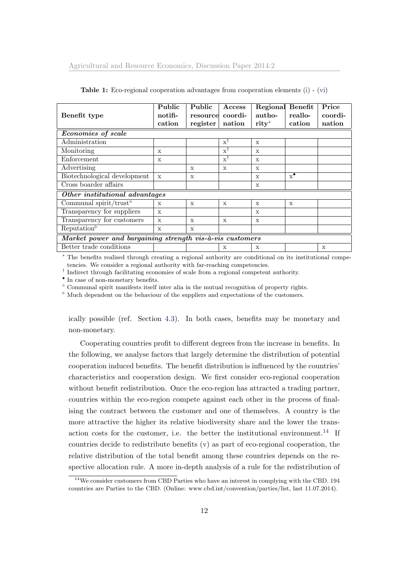|                                                          | Public       | Public       | Access                 | Regional     | Benefit                | Price   |  |  |
|----------------------------------------------------------|--------------|--------------|------------------------|--------------|------------------------|---------|--|--|
| Benefit type                                             | notifi-      |              | resource coordi-       | autho-       | reallo-                | coordi- |  |  |
|                                                          | cation       | register     | nation                 | $rity^*$     | cation                 | nation  |  |  |
| <b>Economies of scale</b>                                |              |              |                        |              |                        |         |  |  |
| Administration                                           |              |              | $\mathbf{x}^{\dagger}$ | $\mathbf{x}$ |                        |         |  |  |
| Monitoring                                               | X            |              | $\mathbf{x}^{\dagger}$ | $\mathbf{x}$ |                        |         |  |  |
| Enforcement                                              | X            |              | $\mathbf{x}^{\dagger}$ | $\mathbf{x}$ |                        |         |  |  |
| Advertising                                              |              | $\mathbf{x}$ | $\mathbf{x}$           | $\mathbf{x}$ |                        |         |  |  |
| Biotechnological development                             | $\mathbf{x}$ | $\mathbf{x}$ |                        | $\mathbf{x}$ | $\mathbf{x}^{\bullet}$ |         |  |  |
| Cross boarder affairs                                    |              |              |                        | X            |                        |         |  |  |
| Other institutional advantages                           |              |              |                        |              |                        |         |  |  |
| Communal spirit/trust <sup><math>\diamond</math></sup>   | X            | X            | X                      | $\mathbf{x}$ | $\mathbf{x}$           |         |  |  |
| Transparency for suppliers                               | $\mathbf{x}$ |              |                        | $\mathbf{x}$ |                        |         |  |  |
| Transparency for customers                               | $\mathbf{x}$ | $\mathbf{x}$ | $\mathbf x$            | $\mathbf{x}$ |                        |         |  |  |
| Reputation <sup>5</sup>                                  | X            | $\mathbf{x}$ |                        |              |                        |         |  |  |
| Market power and bargaining strength vis-à-vis customers |              |              |                        |              |                        |         |  |  |
| Better trade conditions                                  |              |              | X                      | X            |                        | X       |  |  |

<span id="page-12-0"></span>Table 1: Eco-regional cooperation advantages from cooperation elements [\(i\)](#page-5-1) - [\(vi\)](#page-5-3)

<sup>∗</sup> The benefits realised through creating a regional authority are conditional on its institutional competencies. We consider a regional authority with far-reaching competencies.

† Indirect through facilitating economies of scale from a regional competent authority.

• In case of non-monetary benefits.

 $^\diamond$  Communal spirit manifests itself inter alia in the mutual recognition of property rights.

 $\delta$  Much dependent on the behaviour of the suppliers and expectations of the customers.

ically possible (ref. Section [4.3\)](#page-10-0). In both cases, benefits may be monetary and non-monetary.

Cooperating countries profit to different degrees from the increase in benefits. In the following, we analyse factors that largely determine the distribution of potential cooperation induced benefits. The benefit distribution is influenced by the countries' characteristics and cooperation design. We first consider eco-regional cooperation without benefit redistribution. Once the eco-region has attracted a trading partner, countries within the eco-region compete against each other in the process of finalising the contract between the customer and one of themselves. A country is the more attractive the higher its relative biodiversity share and the lower the trans-action costs for the customer, i.e. the better the institutional environment.<sup>[14](#page-0-0)</sup> If countries decide to redistribute benefits [\(v\)](#page-5-2) as part of eco-regional cooperation, the relative distribution of the total benefit among these countries depends on the respective allocation rule. A more in-depth analysis of a rule for the redistribution of

<sup>&</sup>lt;sup>14</sup>We consider customers from CBD Parties who have an interest in complying with the CBD. 194 countries are Parties to the CBD. (Online: www.cbd.int/convention/parties/list, last 11.07.2014).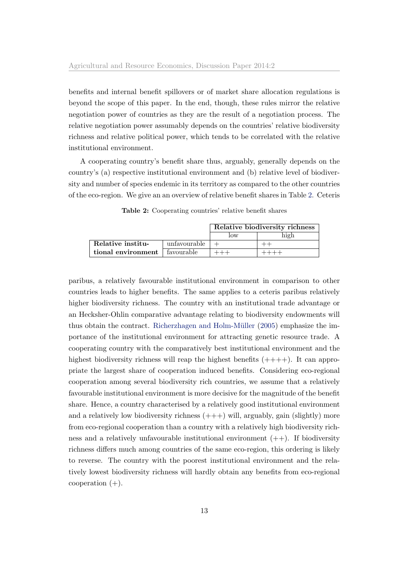benefits and internal benefit spillovers or of market share allocation regulations is beyond the scope of this paper. In the end, though, these rules mirror the relative negotiation power of countries as they are the result of a negotiation process. The relative negotiation power assumably depends on the countries' relative biodiversity richness and relative political power, which tends to be correlated with the relative institutional environment.

A cooperating country's benefit share thus, arguably, generally depends on the country's (a) respective institutional environment and (b) relative level of biodiversity and number of species endemic in its territory as compared to the other countries of the eco-region. We give an an overview of relative benefit shares in Table [2.](#page-13-0) Ceteris

|                                 |              | Relative biodiversity richness |  |  |
|---------------------------------|--------------|--------------------------------|--|--|
|                                 |              | low                            |  |  |
| Relative institu-               | unfavourable |                                |  |  |
| tional environment   favourable |              |                                |  |  |

<span id="page-13-0"></span>Table 2: Cooperating countries' relative benefit shares

paribus, a relatively favourable institutional environment in comparison to other countries leads to higher benefits. The same applies to a ceteris paribus relatively higher biodiversity richness. The country with an institutional trade advantage or an Hecksher-Ohlin comparative advantage relating to biodiversity endowments will thus obtain the contract. Richerzhagen and Holm-Müller [\(2005\)](#page-30-12) emphasize the importance of the institutional environment for attracting genetic resource trade. A cooperating country with the comparatively best institutional environment and the highest biodiversity richness will reap the highest benefits  $(+++)$ . It can appropriate the largest share of cooperation induced benefits. Considering eco-regional cooperation among several biodiversity rich countries, we assume that a relatively favourable institutional environment is more decisive for the magnitude of the benefit share. Hence, a country characterised by a relatively good institutional environment and a relatively low biodiversity richness  $(++)$  will, arguably, gain (slightly) more from eco-regional cooperation than a country with a relatively high biodiversity richness and a relatively unfavourable institutional environment  $(++)$ . If biodiversity richness differs much among countries of the same eco-region, this ordering is likely to reverse. The country with the poorest institutional environment and the relatively lowest biodiversity richness will hardly obtain any benefits from eco-regional cooperation  $(+)$ .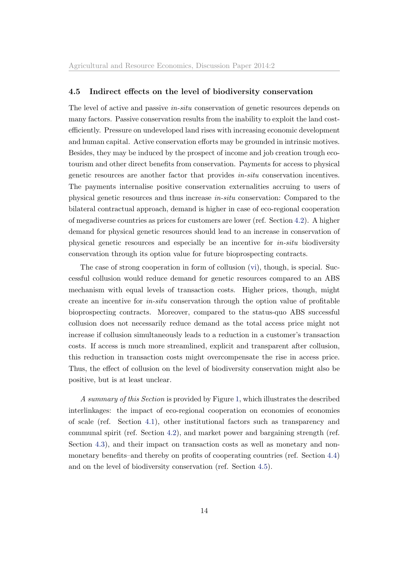### <span id="page-14-0"></span>4.5 Indirect effects on the level of biodiversity conservation

The level of active and passive in-situ conservation of genetic resources depends on many factors. Passive conservation results from the inability to exploit the land costefficiently. Pressure on undeveloped land rises with increasing economic development and human capital. Active conservation efforts may be grounded in intrinsic motives. Besides, they may be induced by the prospect of income and job creation trough ecotourism and other direct benefits from conservation. Payments for access to physical genetic resources are another factor that provides in-situ conservation incentives. The payments internalise positive conservation externalities accruing to users of physical genetic resources and thus increase in-situ conservation: Compared to the bilateral contractual approach, demand is higher in case of eco-regional cooperation of megadiverse countries as prices for customers are lower (ref. Section [4.2\)](#page-9-0). A higher demand for physical genetic resources should lead to an increase in conservation of physical genetic resources and especially be an incentive for in-situ biodiversity conservation through its option value for future bioprospecting contracts.

The case of strong cooperation in form of collusion [\(vi\)](#page-5-3), though, is special. Successful collusion would reduce demand for genetic resources compared to an ABS mechanism with equal levels of transaction costs. Higher prices, though, might create an incentive for in-situ conservation through the option value of profitable bioprospecting contracts. Moreover, compared to the status-quo ABS successful collusion does not necessarily reduce demand as the total access price might not increase if collusion simultaneously leads to a reduction in a customer's transaction costs. If access is much more streamlined, explicit and transparent after collusion, this reduction in transaction costs might overcompensate the rise in access price. Thus, the effect of collusion on the level of biodiversity conservation might also be positive, but is at least unclear.

A summary of this Section is provided by Figure [1,](#page-15-1) which illustrates the described interlinkages: the impact of eco-regional cooperation on economies of economies of scale (ref. Section [4.1\)](#page-7-1), other institutional factors such as transparency and communal spirit (ref. Section [4.2\)](#page-9-0), and market power and bargaining strength (ref. Section [4.3\)](#page-10-0), and their impact on transaction costs as well as monetary and nonmonetary benefits–and thereby on profits of cooperating countries (ref. Section [4.4\)](#page-11-0) and on the level of biodiversity conservation (ref. Section [4.5\)](#page-14-0).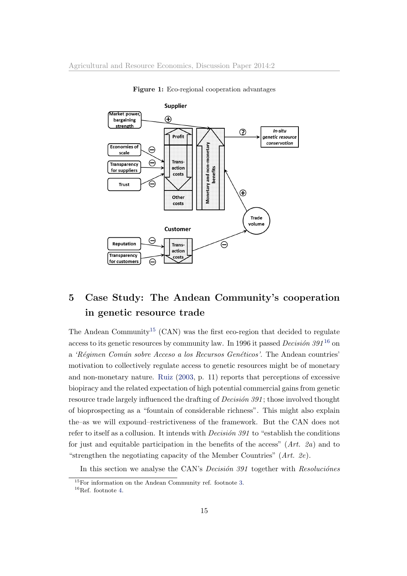

<span id="page-15-1"></span>Figure 1: Eco-regional cooperation advantages

## <span id="page-15-0"></span>5 Case Study: The Andean Community's cooperation in genetic resource trade

The Andean Community<sup>[15](#page-0-0)</sup> (CAN) was the first eco-region that decided to regulate access to its genetic resources by community law. In 1996 it passed *Decision* 391<sup>[16](#page-0-0)</sup> on a 'Régimen Común sobre Acceso a los Recursos Genéticos'. The Andean countries' motivation to collectively regulate access to genetic resources might be of monetary and non-monetary nature. [Ruiz](#page-30-7) [\(2003,](#page-30-7) p. 11) reports that perceptions of excessive biopiracy and the related expectation of high potential commercial gains from genetic resource trade largely influenced the drafting of  $Decision\ 391$ ; those involved thought of bioprospecting as a "fountain of considerable richness". This might also explain the–as we will expound–restrictiveness of the framework. But the CAN does not refer to itself as a collusion. It intends with *Decision 391* to "establish the conditions" for just and equitable participation in the benefits of the access"  $(Art. 2a)$  and to "strengthen the negotiating capacity of the Member Countries"  $(Art. 2e)$ .

In this section we analyse the CAN's *Decision 391* together with *Resoluciones* 

 $15$ For information on the Andean Community ref. footnote [3.](#page-1-0)

 $16$ Ref. footnote [4.](#page-1-0)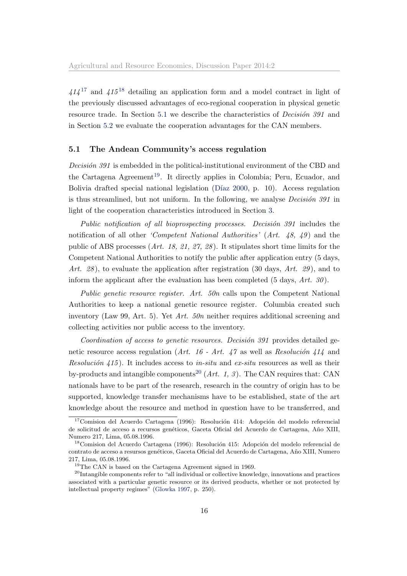$414^{17}$  $414^{17}$  $414^{17}$  and  $415^{18}$  $415^{18}$  $415^{18}$  detailing an application form and a model contract in light of the previously discussed advantages of eco-regional cooperation in physical genetic resource trade. In Section [5.1](#page-16-0) we describe the characteristics of *Decision 391* and in Section [5.2](#page-17-0) we evaluate the cooperation advantages for the CAN members.

### <span id="page-16-0"></span>5.1 The Andean Community's access regulation

 $Decision 391$  is embedded in the political-institutional environment of the CBD and the Cartagena Agreement<sup>[19](#page-0-0)</sup>. It directly applies in Colombia; Peru, Ecuador, and Bolivia drafted special national legislation (Díaz [2000,](#page-28-8) p. 10). Access regulation is thus streamlined, but not uniform. In the following, we analyse *Decision 391* in light of the cooperation characteristics introduced in Section [3.](#page-5-0)

Public notification of all bioprospecting processes. Decision  $391$  includes the notification of all other *'Competent National Authorities'*  $(Art. 48, 49)$  and the public of ABS processes (Art. 18, 21, 27, 28). It stipulates short time limits for the Competent National Authorities to notify the public after application entry (5 days, Art. 28), to evaluate the application after registration (30 days, Art. 29), and to inform the applicant after the evaluation has been completed  $(5 \text{ days}, Art. 30)$ .

Public genetic resource register. Art. 50n calls upon the Competent National Authorities to keep a national genetic resource register. Columbia created such inventory (Law 99, Art. 5). Yet Art. 50n neither requires additional screening and collecting activities nor public access to the inventory.

Coordination of access to genetic resources. Decision  $391$  provides detailed genetic resource access regulation (Art. 16 - Art. 47 as well as Resolución 414 and Resolución  $\langle 115 \rangle$ . It includes access to in-situ and ex-situ resources as well as their by-products and intangible components<sup>[20](#page-0-0)</sup> (Art. 1, 3). The CAN requires that: CAN nationals have to be part of the research, research in the country of origin has to be supported, knowledge transfer mechanisms have to be established, state of the art knowledge about the resource and method in question have to be transferred, and

 $17$ Comision del Acuerdo Cartagena (1996): Resolución 414: Adopción del modelo referencial de solicitud de acceso a recursos genéticos, Gaceta Oficial del Acuerdo de Cartagena, Año XIII, Numero 217, Lima, 05.08.1996.

 $18$ Comision del Acuerdo Cartagena (1996): Resolución 415: Adopción del modelo referencial de contrato de acceso a resursos genéticos, Gaceta Oficial del Acuerdo de Cartagena, Año XIII, Numero 217, Lima, 05.08.1996.

<sup>&</sup>lt;sup>19</sup>The CAN is based on the Cartagena Agreement signed in 1969.

<sup>&</sup>lt;sup>20</sup>Intangible components refer to "all individual or collective knowledge, innovations and practices associated with a particular genetic resource or its derived products, whether or not protected by intellectual property regimes" [\(Glowka](#page-28-9) [1997,](#page-28-9) p. 250).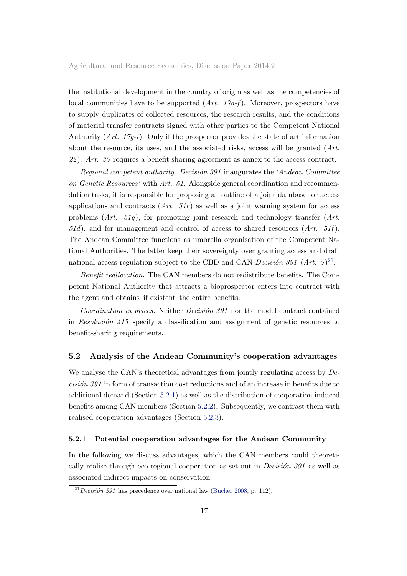the institutional development in the country of origin as well as the competencies of local communities have to be supported  $(Art. 17a-f)$ . Moreover, prospectors have to supply duplicates of collected resources, the research results, and the conditions of material transfer contracts signed with other parties to the Competent National Authority  $(Art. 17g-i)$ . Only if the prospector provides the state of art information about the resource, its uses, and the associated risks, access will be granted (Art.  $22$ ). Art. 35 requires a benefit sharing agreement as annex to the access contract.

Regional competent authority. Decision 391 inaugurates the 'Andean Committee on Genetic Resources' with Art. 51. Alongside general coordination and recommendation tasks, it is responsible for proposing an outline of a joint database for access applications and contracts  $(Art. 51c)$  as well as a joint warning system for access problems  $(Art. 51q)$ , for promoting joint research and technology transfer  $(Art. 51q)$  $51d$ , and for management and control of access to shared resources  $(Art. 51f)$ . The Andean Committee functions as umbrella organisation of the Competent National Authorities. The latter keep their sovereignty over granting access and draft national access regulation subject to the CBD and CAN *Decision 391* (Art. 5)<sup>[21](#page-0-0)</sup>.

Benefit reallocation. The CAN members do not redistribute benefits. The Competent National Authority that attracts a bioprospector enters into contract with the agent and obtains–if existent–the entire benefits.

Coordination in prices. Neither Decision 391 nor the model contract contained in Resolución  $415$  specify a classification and assignment of genetic resources to benefit-sharing requirements.

### <span id="page-17-0"></span>5.2 Analysis of the Andean Community's cooperation advantages

We analyse the CAN's theoretical advantages from jointly regulating access by  $De$  $cisi\acute{o}n$  391 in form of transaction cost reductions and of an increase in benefits due to additional demand (Section [5.2.1\)](#page-17-1) as well as the distribution of cooperation induced benefits among CAN members (Section [5.2.2\)](#page-21-0). Subsequently, we contrast them with realised cooperation advantages (Section [5.2.3\)](#page-24-0).

### <span id="page-17-1"></span>5.2.1 Potential cooperation advantages for the Andean Community

In the following we discuss advantages, which the CAN members could theoretically realise through eco-regional cooperation as set out in *Decision 391* as well as associated indirect impacts on conservation.

 $^{21}$ Decisión 391 has precedence over national law [\(Bucher](#page-28-1) [2008,](#page-28-1) p. 112).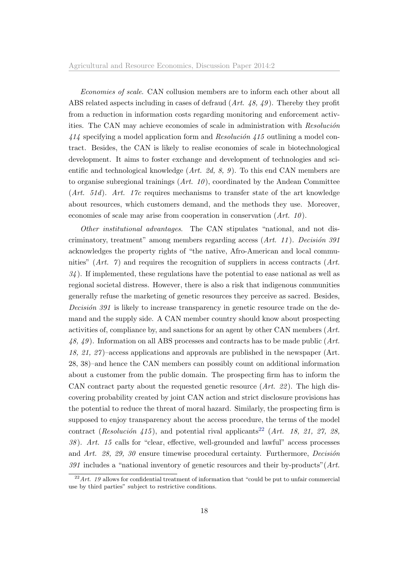Economies of scale. CAN collusion members are to inform each other about all ABS related aspects including in cases of defraud (Art. 48, 49 ). Thereby they profit from a reduction in information costs regarding monitoring and enforcement activities. The CAN may achieve economies of scale in administration with Resolución  $414$  specifying a model application form and  $Resolución\ 415$  outlining a model contract. Besides, the CAN is likely to realise economies of scale in biotechnological development. It aims to foster exchange and development of technologies and scientific and technological knowledge  $(Art. 2d, 8, 9)$ . To this end CAN members are to organise subregional trainings  $(Art. 10)$ , coordinated by the Andean Committee  $(Art. 51d)$ . Art. 17c requires mechanisms to transfer state of the art knowledge about resources, which customers demand, and the methods they use. Moreover, economies of scale may arise from cooperation in conservation  $(Art. 10)$ .

Other institutional advantages. The CAN stipulates "national, and not discriminatory, treatment" among members regarding access  $(Art. 11)$ . Decisión 391 acknowledges the property rights of "the native, Afro-American and local communities"  $(Art. 7)$  and requires the recognition of suppliers in access contracts  $(Art. 7)$  $34$ ). If implemented, these regulations have the potential to ease national as well as regional societal distress. However, there is also a risk that indigenous communities generally refuse the marketing of genetic resources they perceive as sacred. Besides, Decisión  $391$  is likely to increase transparency in genetic resource trade on the demand and the supply side. A CAN member country should know about prospecting activities of, compliance by, and sanctions for an agent by other CAN members (Art. 48, 49 ). Information on all ABS processes and contracts has to be made public (Art. 18, 21, 27 )–access applications and approvals are published in the newspaper (Art. 28, 38)–and hence the CAN members can possibly count on additional information about a customer from the public domain. The prospecting firm has to inform the CAN contract party about the requested genetic resource  $(Art. 22)$ . The high discovering probability created by joint CAN action and strict disclosure provisions has the potential to reduce the threat of moral hazard. Similarly, the prospecting firm is supposed to enjoy transparency about the access procedure, the terms of the model contract (Resolución 415), and potential rival applicants<sup>[22](#page-0-0)</sup> (Art. 18, 21, 27, 28, 38 ). Art. 15 calls for "clear, effective, well-grounded and lawful" access processes and Art. 28, 29, 30 ensure timewise procedural certainty. Furthermore, Decision  $391$  includes a "national inventory of genetic resources and their by-products" (Art.

 $^{22}$  Art. 19 allows for confidential treatment of information that "could be put to unfair commercial use by third parties" subject to restrictive conditions.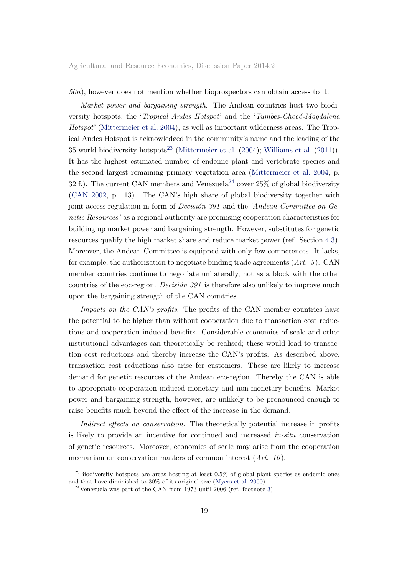#### $50n$ , however does not mention whether bioprospectors can obtain access to it.

Market power and bargaining strength. The Andean countries host two biodiversity hotspots, the '*Tropical Andes Hotspot*' and the '*Tumbes-Chocó-Magdalena* Hotspot' [\(Mittermeier et al.](#page-29-8) [2004\)](#page-29-8), as well as important wilderness areas. The Tropical Andes Hotspot is acknowledged in the community's name and the leading of the 35 world biodiversity hotspots<sup>[23](#page-0-0)</sup> [\(Mittermeier et al.](#page-29-8)  $(2004)$ ; [Williams et al.](#page-31-5)  $(2011)$ ). It has the highest estimated number of endemic plant and vertebrate species and the second largest remaining primary vegetation area [\(Mittermeier et al.](#page-29-8) [2004,](#page-29-8) p. 32 f.). The current CAN members and Venezuela<sup>[24](#page-0-0)</sup> cover  $25\%$  of global biodiversity [\(CAN](#page-28-10) [2002,](#page-28-10) p. 13). The CAN's high share of global biodiversity together with joint access regulation in form of *Decision 391* and the 'Andean Committee on Genetic Resources' as a regional authority are promising cooperation characteristics for building up market power and bargaining strength. However, substitutes for genetic resources qualify the high market share and reduce market power (ref. Section [4.3\)](#page-10-0). Moreover, the Andean Committee is equipped with only few competences. It lacks, for example, the authorization to negotiate binding trade agreements  $(Art. 5)$ . CAN member countries continue to negotiate unilaterally, not as a block with the other countries of the eoc-region. *Decision 391* is therefore also unlikely to improve much upon the bargaining strength of the CAN countries.

Impacts on the CAN's profits. The profits of the CAN member countries have the potential to be higher than without cooperation due to transaction cost reductions and cooperation induced benefits. Considerable economies of scale and other institutional advantages can theoretically be realised; these would lead to transaction cost reductions and thereby increase the CAN's profits. As described above, transaction cost reductions also arise for customers. These are likely to increase demand for genetic resources of the Andean eco-region. Thereby the CAN is able to appropriate cooperation induced monetary and non-monetary benefits. Market power and bargaining strength, however, are unlikely to be pronounced enough to raise benefits much beyond the effect of the increase in the demand.

Indirect effects on conservation. The theoretically potential increase in profits is likely to provide an incentive for continued and increased in-situ conservation of genetic resources. Moreover, economies of scale may arise from the cooperation mechanism on conservation matters of common interest  $(Art. 10)$ .

 $^{23}$ Biodiversity hotspots are areas hosting at least 0.5% of global plant species as endemic ones and that have diminished to 30% of its original size [\(Myers et al.](#page-29-9) [2000\)](#page-29-9).

 $^{24}$ Venezuela was part of the CAN from 1973 until 2006 (ref. footnote [3\)](#page-1-0).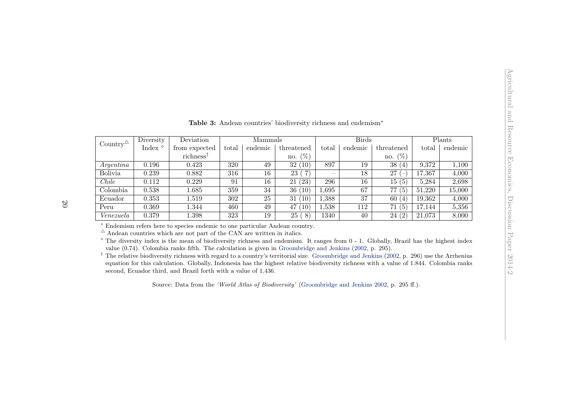<span id="page-20-0"></span>

| <b>Table 3:</b> Andean countries' biodiversity richness and endemism <sup>*</sup> |                     |                                                                                                                                                                                                                                                                                                                                                                                                                                                                                                                                                                                                                                                                                                                                                                                                          |       |         |                              |       |              |                         |        |         |  |
|-----------------------------------------------------------------------------------|---------------------|----------------------------------------------------------------------------------------------------------------------------------------------------------------------------------------------------------------------------------------------------------------------------------------------------------------------------------------------------------------------------------------------------------------------------------------------------------------------------------------------------------------------------------------------------------------------------------------------------------------------------------------------------------------------------------------------------------------------------------------------------------------------------------------------------------|-------|---------|------------------------------|-------|--------------|-------------------------|--------|---------|--|
| Country $\triangle$                                                               | Diversity           | Deviation                                                                                                                                                                                                                                                                                                                                                                                                                                                                                                                                                                                                                                                                                                                                                                                                |       | Mammals |                              |       | <b>Birds</b> |                         |        | Plants  |  |
|                                                                                   | Index $^{\diamond}$ | from expected                                                                                                                                                                                                                                                                                                                                                                                                                                                                                                                                                                                                                                                                                                                                                                                            | total | endemic | threatened                   | total | endemic      | threatened              | total  | endemic |  |
|                                                                                   |                     | richness <sup>†</sup>                                                                                                                                                                                                                                                                                                                                                                                                                                                                                                                                                                                                                                                                                                                                                                                    |       |         | no. $(\%)$                   |       |              | no. $(\%)$              |        |         |  |
| Argentina                                                                         | 0.196               | 0.423                                                                                                                                                                                                                                                                                                                                                                                                                                                                                                                                                                                                                                                                                                                                                                                                    | 320   | 49      | 32(10)                       | 897   | 19           | 38(4)                   | 9,372  | 1,100   |  |
| <b>Bolivia</b>                                                                    | 0.239               | 0.882                                                                                                                                                                                                                                                                                                                                                                                                                                                                                                                                                                                                                                                                                                                                                                                                    | 316   | 16      | 23 (<br>$\mathbf{7}^{\circ}$ |       | 18           | 27<br>$\qquad \qquad -$ | 17,367 | 4,000   |  |
| Chile                                                                             | 0.112               | 0.229                                                                                                                                                                                                                                                                                                                                                                                                                                                                                                                                                                                                                                                                                                                                                                                                    | 91    | 16      | 21(23)                       | 296   | 16           | 15(5)                   | 5,284  | 2,698   |  |
| Colombia                                                                          | 0.538               | 1.685                                                                                                                                                                                                                                                                                                                                                                                                                                                                                                                                                                                                                                                                                                                                                                                                    | 359   | 34      | 36(10)                       | 1,695 | 67           | 77(5)                   | 51,220 | 15,000  |  |
| Ecuador                                                                           | 0.353               | 1.519                                                                                                                                                                                                                                                                                                                                                                                                                                                                                                                                                                                                                                                                                                                                                                                                    | 302   | 25      | 31(10)                       | 1,388 | 37           | 60 $(4)$                | 19,362 | 4,000   |  |
| Peru                                                                              | 0.369               | 1.344                                                                                                                                                                                                                                                                                                                                                                                                                                                                                                                                                                                                                                                                                                                                                                                                    | 460   | 49      | 47(10)                       | 1,538 | 112          | 71(5)                   | 17,144 | 5,356   |  |
| Venezuela                                                                         | 0.379               | 1.398                                                                                                                                                                                                                                                                                                                                                                                                                                                                                                                                                                                                                                                                                                                                                                                                    | 323   | 19      | 25 (<br>$\left(8\right)$     | 1340  | 40           | 24(2)                   | 21,073 | 8,000   |  |
|                                                                                   |                     | * Endemism refers here to species endemic to one particular Andean country.<br>$^\Delta$ Andean countries which are not part of the CAN are written in italics.<br>$^{\circ}$ The diversity index is the mean of biodiversity richness and endemism. It ranges from 0 - 1. Globally, Brazil has the highest index<br>value $(0.74)$ . Colombia ranks fifth. The calculation is given in Groombridge and Jenkins $(2002, p. 295)$ .<br><sup>†</sup> The relative biodiversity richness with regard to a country's territorial size. Groombridge and Jenkins (2002, p. 296) use the Arrhenius<br>equation for this calculation. Globally, Indonesia has the highest relative biodiversity richness with a value of 1.844. Colombia ranks<br>second, Ecuador third, and Brazil forth with a value of 1.436. |       |         |                              |       |              |                         |        |         |  |

Source: Data from the 'World Atlas of Biodiversity' [\(Groombridge](#page-29-10) and Jenkins [2002,](#page-29-10) p. 295 ff.).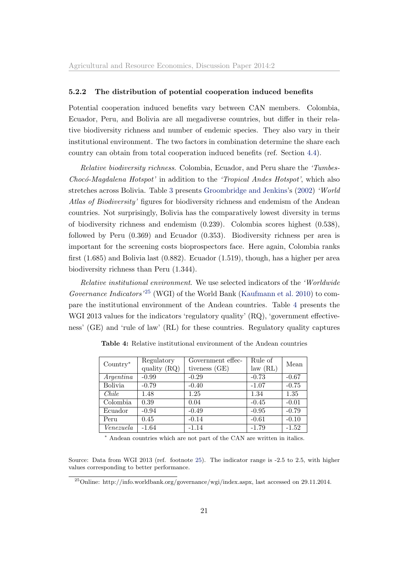### <span id="page-21-0"></span>5.2.2 The distribution of potential cooperation induced benefits

Potential cooperation induced benefits vary between CAN members. Colombia, Ecuador, Peru, and Bolivia are all megadiverse countries, but differ in their relative biodiversity richness and number of endemic species. They also vary in their institutional environment. The two factors in combination determine the share each country can obtain from total cooperation induced benefits (ref. Section [4.4\)](#page-11-0).

Relative biodiversity richness. Colombia, Ecuador, and Peru share the 'Tumbes-Chocó-Magdalena Hotspot' in addition to the 'Tropical Andes Hotspot', which also stretches across Bolivia. Table [3](#page-20-0) presents [Groombridge and Jenkins'](#page-29-11)s [\(2002\)](#page-29-11) 'World Atlas of Biodiversity' figures for biodiversity richness and endemism of the Andean countries. Not surprisingly, Bolivia has the comparatively lowest diversity in terms of biodiversity richness and endemism (0.239). Colombia scores highest (0.538), followed by Peru (0.369) and Ecuador (0.353). Biodiversity richness per area is important for the screening costs bioprospectors face. Here again, Colombia ranks first (1.685) and Bolivia last (0.882). Ecuador (1.519), though, has a higher per area biodiversity richness than Peru (1.344).

Relative institutional environment. We use selected indicators of the 'Worldwide Governance Indicators<sup>'[25](#page-0-0)</sup> (WGI) of the World Bank [\(Kaufmann et al.](#page-29-12) [2010\)](#page-29-12) to compare the institutional environment of the Andean countries. Table [4](#page-21-1) presents the WGI 2013 values for the indicators 'regulatory quality' (RQ), 'government effectiveness' (GE) and 'rule of law' (RL) for these countries. Regulatory quality captures

| $Country*$     | Regulatory     | Government effec- | Rule of  | Mean    |  |
|----------------|----------------|-------------------|----------|---------|--|
|                | quality $(RQ)$ | tiveness (GE)     | law (RL) |         |  |
| Argentina      | $-0.99$        | $-0.29$           | $-0.73$  | $-0.67$ |  |
| <b>Bolivia</b> | $-0.79$        | $-0.40$           | $-1.07$  | $-0.75$ |  |
| Chile          | 1.48           | 1.25              | 1.34     | 1.35    |  |
| Colombia       | 0.39           | 0.04              | $-0.45$  | $-0.01$ |  |
| Ecuador        | $-0.94$        | $-0.49$           | $-0.95$  | $-0.79$ |  |
| Peru           | 0.45           | $-0.14$           | $-0.61$  | $-0.10$ |  |
| Venezuela      | $-1.64$        | $-1.14$           | $-1.79$  | $-1.52$ |  |

<span id="page-21-1"></span>Table 4: Relative institutional environment of the Andean countries

<sup>∗</sup> Andean countries which are not part of the CAN are written in italics.

Source: Data from WGI 2013 (ref. footnote [25\)](#page-20-0). The indicator range is -2.5 to 2.5, with higher values corresponding to better performance.

<sup>25</sup>Online: http://info.worldbank.org/governance/wgi/index.aspx, last accessed on 29.11.2014.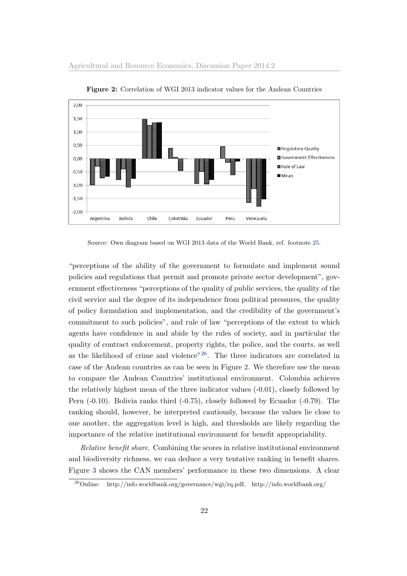

<span id="page-22-0"></span>Figure 2: Correlation of WGI 2013 indicator values for the Andean Countries

Source: Own diagram based on WGI 2013 data of the World Bank, ref. footnote [25.](#page-20-0)

"perceptions of the ability of the government to formulate and implement sound policies and regulations that permit and promote private sector development", government effectiveness "perceptions of the quality of public services, the quality of the civil service and the degree of its independence from political pressures, the quality of policy formulation and implementation, and the credibility of the government's commitment to such policies", and rule of law "perceptions of the extent to which agents have confidence in and abide by the rules of society, and in particular the quality of contract enforcement, property rights, the police, and the courts, as well as the likelihood of crime and violence"<sup>[26](#page-0-0)</sup>. The three indicators are correlated in case of the Andean countries as can be seen in Figure [2.](#page-22-0) We therefore use the mean to compare the Andean Countries' institutional environment. Colombia achieves the relatively highest mean of the three indicator values (-0.01), closely followed by Peru (-0.10). Bolivia ranks third (-0.75), closely followed by Ecuador (-0.79). The ranking should, however, be interpreted cautiously, because the values lie close to one another, the aggregation level is high, and thresholds are likely regarding the importance of the relative institutional environment for benefit appropriability.

Relative benefit share. Combining the scores in relative institutional environment and biodiversity richness, we can deduce a very tentative ranking in benefit shares. Figure [3](#page-23-0) shows the CAN members' performance in these two dimensions. A clear

<sup>26</sup>Online: http://info.worldbank.org/governance/wgi/rq.pdf, http://info.worldbank.org/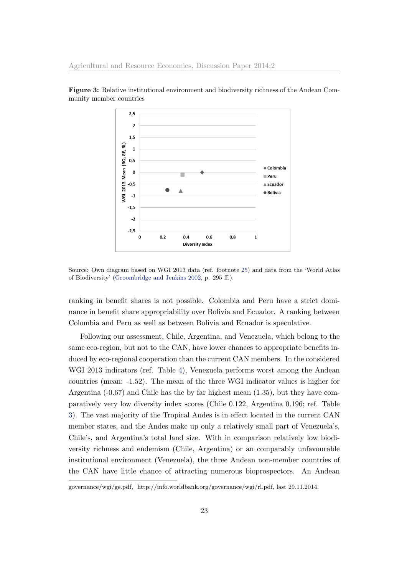<span id="page-23-0"></span>

Figure 3: Relative institutional environment and biodiversity richness of the Andean Community member countries

Source: Own diagram based on WGI 2013 data (ref. footnote [25\)](#page-20-0) and data from the 'World Atlas of Biodiversity' [\(Groombridge and Jenkins](#page-29-11) [2002,](#page-29-11) p. 295 ff.).

ranking in benefit shares is not possible. Colombia and Peru have a strict dominance in benefit share appropriability over Bolivia and Ecuador. A ranking between Colombia and Peru as well as between Bolivia and Ecuador is speculative.

Following our assessment, Chile, Argentina, and Venezuela, which belong to the same eco-region, but not to the CAN, have lower chances to appropriate benefits induced by eco-regional cooperation than the current CAN members. In the considered WGI 2013 indicators (ref. Table [4\)](#page-21-1), Venezuela performs worst among the Andean countries (mean: -1.52). The mean of the three WGI indicator values is higher for Argentina (-0.67) and Chile has the by far highest mean (1.35), but they have comparatively very low diversity index scores (Chile 0.122, Argentina 0.196; ref. Table [3\)](#page-20-0). The vast majority of the Tropical Andes is in effect located in the current CAN member states, and the Andes make up only a relatively small part of Venezuela's, Chile's, and Argentina's total land size. With in comparison relatively low biodiversity richness and endemism (Chile, Argentina) or an comparably unfavourable institutional environment (Venezuela), the three Andean non-member countries of the CAN have little chance of attracting numerous bioprospectors. An Andean

governance/wgi/ge.pdf, http://info.worldbank.org/governance/wgi/rl.pdf, last 29.11.2014.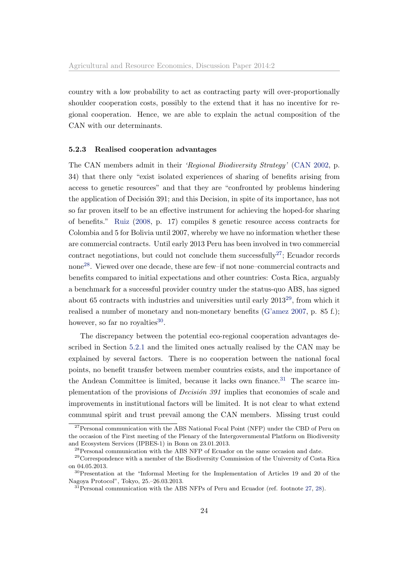country with a low probability to act as contracting party will over-proportionally shoulder cooperation costs, possibly to the extend that it has no incentive for regional cooperation. Hence, we are able to explain the actual composition of the CAN with our determinants.

### <span id="page-24-0"></span>5.2.3 Realised cooperation advantages

The CAN members admit in their 'Regional Biodiversity Strategy' [\(CAN](#page-28-10) [2002,](#page-28-10) p. 34) that there only "exist isolated experiences of sharing of benefits arising from access to genetic resources" and that they are "confronted by problems hindering the application of Decision 391; and this Decision, in spite of its importance, has not so far proven itself to be an effective instrument for achieving the hoped-for sharing of benefits." [Ruiz](#page-30-13) [\(2008,](#page-30-13) p. 17) compiles 8 genetic resource access contracts for Colombia and 5 for Bolivia until 2007, whereby we have no information whether these are commercial contracts. Until early 2013 Peru has been involved in two commercial contract negotiations, but could not conclude them successfully<sup>[27](#page-0-0)</sup>; Ecuador records none[28](#page-0-0). Viewed over one decade, these are few–if not none–commercial contracts and benefits compared to initial expectations and other countries: Costa Rica, arguably a benchmark for a successful provider country under the status-quo ABS, has signed about 65 contracts with industries and universities until early 2013[29](#page-0-0), from which it realised a number of monetary and non-monetary benefits [\(G'amez](#page-28-11) [2007,](#page-28-11) p. 85 f.); however, so far no royalties<sup>[30](#page-0-0)</sup>.

The discrepancy between the potential eco-regional cooperation advantages described in Section [5.2.1](#page-17-1) and the limited ones actually realised by the CAN may be explained by several factors. There is no cooperation between the national focal points, no benefit transfer between member countries exists, and the importance of the Andean Committee is limited, because it lacks own finance.<sup>[31](#page-0-0)</sup> The scarce implementation of the provisions of *Decision 391* implies that economies of scale and improvements in institutional factors will be limited. It is not clear to what extend communal spirit and trust prevail among the CAN members. Missing trust could

 $27$ Personal communication with the ABS National Focal Point (NFP) under the CBD of Peru on the occasion of the First meeting of the Plenary of the Intergovernmental Platform on Biodiversity and Ecosystem Services (IPBES-1) in Bonn on 23.01.2013.

<sup>28</sup>Personal communication with the ABS NFP of Ecuador on the same occasion and date.

<sup>29</sup>Correspondence with a member of the Biodiversity Commission of the University of Costa Rica on 04.05.2013.

<sup>30</sup>Presentation at the "Informal Meeting for the Implementation of Articles 19 and 20 of the Nagoya Protocol", Tokyo, 25.–26.03.2013.

 $31$  Personal communication with the ABS NFPs of Peru and Ecuador (ref. footnote [27,](#page-24-0) [28\)](#page-24-0).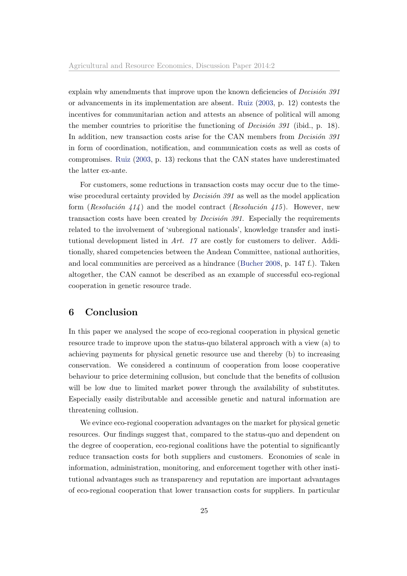explain why amendments that improve upon the known deficiencies of *Decision*  $391$ or advancements in its implementation are absent. [Ruiz](#page-30-7) [\(2003,](#page-30-7) p. 12) contests the incentives for communitarian action and attests an absence of political will among the member countries to prioritise the functioning of *Decision 391* (ibid., p. 18). In addition, new transaction costs arise for the CAN members from  $Decision 391$ in form of coordination, notification, and communication costs as well as costs of compromises. [Ruiz](#page-30-7) [\(2003,](#page-30-7) p. 13) reckons that the CAN states have underestimated the latter ex-ante.

For customers, some reductions in transaction costs may occur due to the timewise procedural certainty provided by *Decision 391* as well as the model application form (Resolución 414) and the model contract (Resolución 415). However, new transaction costs have been created by *Decision 391*. Especially the requirements related to the involvement of 'subregional nationals', knowledge transfer and institutional development listed in Art. 17 are costly for customers to deliver. Additionally, shared competencies between the Andean Committee, national authorities, and local communities are perceived as a hindrance [\(Bucher](#page-28-1) [2008,](#page-28-1) p. 147 f.). Taken altogether, the CAN cannot be described as an example of successful eco-regional cooperation in genetic resource trade.

## <span id="page-25-0"></span>6 Conclusion

In this paper we analysed the scope of eco-regional cooperation in physical genetic resource trade to improve upon the status-quo bilateral approach with a view (a) to achieving payments for physical genetic resource use and thereby (b) to increasing conservation. We considered a continuum of cooperation from loose cooperative behaviour to price determining collusion, but conclude that the benefits of collusion will be low due to limited market power through the availability of substitutes. Especially easily distributable and accessible genetic and natural information are threatening collusion.

We evince eco-regional cooperation advantages on the market for physical genetic resources. Our findings suggest that, compared to the status-quo and dependent on the degree of cooperation, eco-regional coalitions have the potential to significantly reduce transaction costs for both suppliers and customers. Economies of scale in information, administration, monitoring, and enforcement together with other institutional advantages such as transparency and reputation are important advantages of eco-regional cooperation that lower transaction costs for suppliers. In particular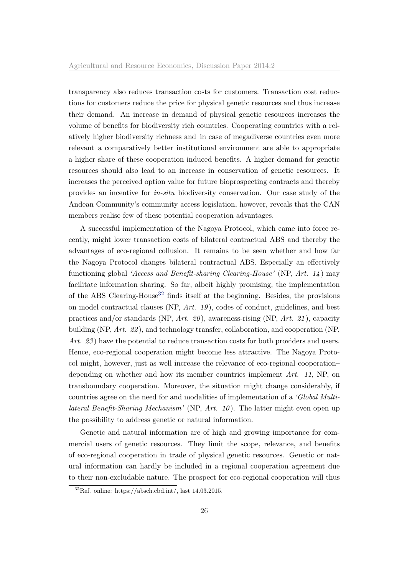transparency also reduces transaction costs for customers. Transaction cost reductions for customers reduce the price for physical genetic resources and thus increase their demand. An increase in demand of physical genetic resources increases the volume of benefits for biodiversity rich countries. Cooperating countries with a relatively higher biodiversity richness and–in case of megadiverse countries even more relevant–a comparatively better institutional environment are able to appropriate a higher share of these cooperation induced benefits. A higher demand for genetic resources should also lead to an increase in conservation of genetic resources. It increases the perceived option value for future bioprospecting contracts and thereby provides an incentive for in-situ biodiversity conservation. Our case study of the Andean Community's community access legislation, however, reveals that the CAN members realise few of these potential cooperation advantages.

A successful implementation of the Nagoya Protocol, which came into force recently, might lower transaction costs of bilateral contractual ABS and thereby the advantages of eco-regional collusion. It remains to be seen whether and how far the Nagoya Protocol changes bilateral contractual ABS. Especially an effectively functioning global 'Access and Benefit-sharing Clearing-House' (NP, Art.  $14$ ) may facilitate information sharing. So far, albeit highly promising, the implementation of the ABS Clearing-House<sup>[32](#page-0-0)</sup> finds itself at the beginning. Besides, the provisions on model contractual clauses (NP, Art. 19 ), codes of conduct, guidelines, and best practices and/or standards (NP, Art. 20), awareness-rising (NP, Art. 21), capacity building (NP, Art. 22 ), and technology transfer, collaboration, and cooperation (NP, Art. 23) have the potential to reduce transaction costs for both providers and users. Hence, eco-regional cooperation might become less attractive. The Nagoya Protocol might, however, just as well increase the relevance of eco-regional cooperation– depending on whether and how its member countries implement Art. 11, NP, on transboundary cooperation. Moreover, the situation might change considerably, if countries agree on the need for and modalities of implementation of a 'Global Multilateral Benefit-Sharing Mechanism' (NP,  $Art. 10$ ). The latter might even open up the possibility to address genetic or natural information.

Genetic and natural information are of high and growing importance for commercial users of genetic resources. They limit the scope, relevance, and benefits of eco-regional cooperation in trade of physical genetic resources. Genetic or natural information can hardly be included in a regional cooperation agreement due to their non-excludable nature. The prospect for eco-regional cooperation will thus

 $32$ Ref. online: https://absch.cbd.int/, last 14.03.2015.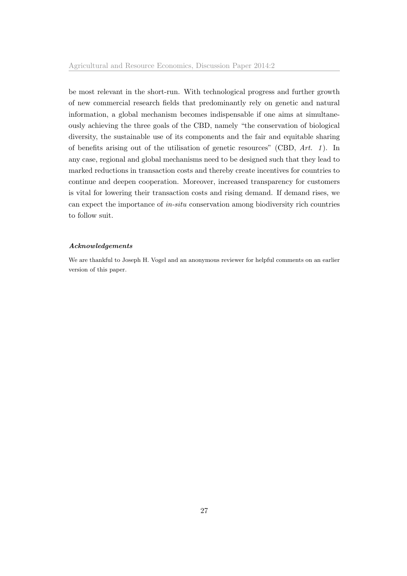be most relevant in the short-run. With technological progress and further growth of new commercial research fields that predominantly rely on genetic and natural information, a global mechanism becomes indispensable if one aims at simultaneously achieving the three goals of the CBD, namely "the conservation of biological diversity, the sustainable use of its components and the fair and equitable sharing of benefits arising out of the utilisation of genetic resources" (CBD,  $Art. 1$ ). In any case, regional and global mechanisms need to be designed such that they lead to marked reductions in transaction costs and thereby create incentives for countries to continue and deepen cooperation. Moreover, increased transparency for customers is vital for lowering their transaction costs and rising demand. If demand rises, we can expect the importance of in-situ conservation among biodiversity rich countries to follow suit.

### Acknowledgements

We are thankful to Joseph H. Vogel and an anonymous reviewer for helpful comments on an earlier version of this paper.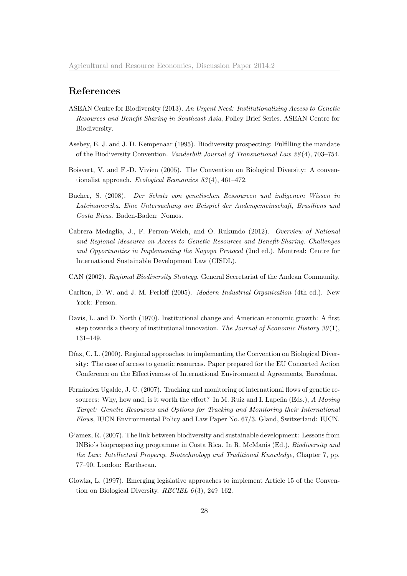### References

- <span id="page-28-5"></span>ASEAN Centre for Biodiversity (2013). An Urgent Need: Institutionalizing Access to Genetic Resources and Benefit Sharing in Southeast Asia, Policy Brief Series. ASEAN Centre for Biodiversity.
- <span id="page-28-0"></span>Asebey, E. J. and J. D. Kempenaar (1995). Biodiversity prospecting: Fulfilling the mandate of the Biodiversity Convention. Vanderbilt Journal of Transnational Law 28 (4), 703–754.
- <span id="page-28-2"></span>Boisvert, V. and F.-D. Vivien (2005). The Convention on Biological Diversity: A conventionalist approach. Ecological Economics 53 (4), 461–472.
- <span id="page-28-1"></span>Bucher, S. (2008). Der Schutz von genetischen Ressourcen und indigenem Wissen in Lateinamerika. Eine Untersuchung am Beispiel der Andengemeinschaft, Brasiliens und Costa Ricas. Baden-Baden: Nomos.
- <span id="page-28-4"></span>Cabrera Medaglia, J., F. Perron-Welch, and O. Rukundo (2012). Overview of National and Regional Measures on Access to Genetic Resources and Benefit-Sharing. Challenges and Opportunities in Implementing the Nagoya Protocol (2nd ed.). Montreal: Centre for International Sustainable Development Law (CISDL).
- <span id="page-28-10"></span>CAN (2002). Regional Biodiversity Strategy. General Secretariat of the Andean Community.
- <span id="page-28-6"></span>Carlton, D. W. and J. M. Perloff (2005). Modern Industrial Organization (4th ed.). New York: Person.
- <span id="page-28-7"></span>Davis, L. and D. North (1970). Institutional change and American economic growth: A first step towards a theory of institutional innovation. The Journal of Economic History  $30(1)$ , 131–149.
- <span id="page-28-8"></span>Díaz, C. L. (2000). Regional approaches to implementing the Convention on Biological Diversity: The case of access to genetic resources. Paper prepared for the EU Concerted Action Conference on the Effectiveness of International Environmental Agreements, Barcelona.
- <span id="page-28-3"></span>Fernández Ugalde, J. C. (2007). Tracking and monitoring of international flows of genetic resources: Why, how and, is it worth the effort? In M. Ruiz and I. Lapeña (Eds.),  $A$  Moving Target: Genetic Resources and Options for Tracking and Monitoring their International Flows, IUCN Environmental Policy and Law Paper No. 67/3. Gland, Switzerland: IUCN.
- <span id="page-28-11"></span>G'amez, R. (2007). The link between biodiversity and sustainable development: Lessons from INBio's bioprospecting programme in Costa Rica. In R. McManis (Ed.), Biodiversity and the Law: Intellectual Property, Biotechnology and Traditional Knowledge, Chapter 7, pp. 77–90. London: Earthscan.
- <span id="page-28-9"></span>Glowka, L. (1997). Emerging legislative approaches to implement Article 15 of the Convention on Biological Diversity. RECIEL  $6(3)$ , 249–162.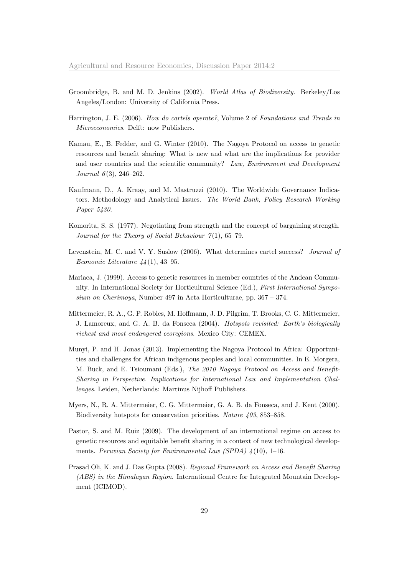- <span id="page-29-11"></span><span id="page-29-10"></span>Groombridge, B. and M. D. Jenkins (2002). World Atlas of Biodiversity. Berkeley/Los Angeles/London: University of California Press.
- <span id="page-29-4"></span>Harrington, J. E. (2006). How do cartels operate?, Volume 2 of Foundations and Trends in Microeconomics. Delft: now Publishers.
- <span id="page-29-2"></span>Kamau, E., B. Fedder, and G. Winter (2010). The Nagoya Protocol on access to genetic resources and benefit sharing: What is new and what are the implications for provider and user countries and the scientific community? Law, Environment and Development Journal  $6(3)$ , 246-262.
- <span id="page-29-12"></span>Kaufmann, D., A. Kraay, and M. Mastruzzi (2010). The Worldwide Governance Indicators. Methodology and Analytical Issues. The World Bank, Policy Research Working Paper 5430.
- <span id="page-29-7"></span>Komorita, S. S. (1977). Negotiating from strength and the concept of bargaining strength. Journal for the Theory of Social Behaviour  $7(1)$ , 65-79.
- <span id="page-29-6"></span>Levenstein, M. C. and V. Y. Suslow (2006). What determines cartel success? Journal of Economic Literature  $\mu$ <sub>4</sub>(1), 43–95.
- <span id="page-29-0"></span>Mariaca, J. (1999). Access to genetic resources in member countries of the Andean Community. In International Society for Horticultural Science (Ed.), First International Symposium on Cherimoya, Number 497 in Acta Horticulturae, pp.  $367 - 374$ .
- <span id="page-29-8"></span>Mittermeier, R. A., G. P. Robles, M. Hoffmann, J. D. Pilgrim, T. Brooks, C. G. Mittermeier, J. Lamoreux, and G. A. B. da Fonseca (2004). Hotspots revisited: Earth's biologically richest and most endangered ecoregions. Mexico City: CEMEX.
- <span id="page-29-3"></span>Munyi, P. and H. Jonas (2013). Implementing the Nagoya Protocol in Africa: Opportunities and challenges for African indigenous peoples and local communities. In E. Morgera, M. Buck, and E. Tsioumani (Eds.), The 2010 Nagoya Protocol on Access and Benefit-Sharing in Perspective. Implications for International Law and Implementation Challenges. Leiden, Netherlands: Martinus Nijhoff Publishers.
- <span id="page-29-9"></span>Myers, N., R. A. Mittermeier, C. G. Mittermeier, G. A. B. da Fonseca, and J. Kent (2000). Biodiversity hotspots for conservation priorities. Nature 403, 853–858.
- <span id="page-29-1"></span>Pastor, S. and M. Ruiz (2009). The development of an international regime on access to genetic resources and equitable benefit sharing in a context of new technological developments. Peruvian Society for Environmental Law (SPDA)  $\frac{1}{4}(10)$ , 1–16.
- <span id="page-29-5"></span>Prasad Oli, K. and J. Das Gupta (2008). Regional Framework on Access and Benefit Sharing (ABS) in the Himalayan Region. International Centre for Integrated Mountain Development (ICIMOD).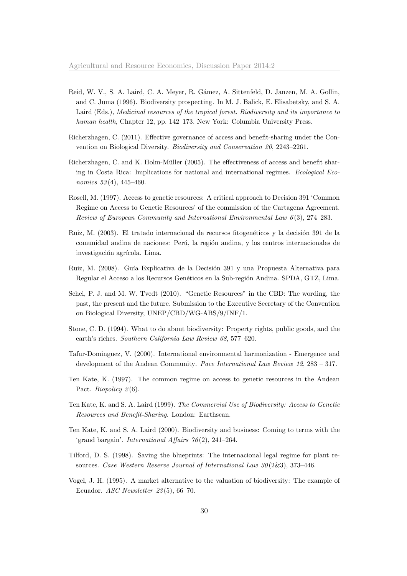- <span id="page-30-1"></span>Reid, W. V., S. A. Laird, C. A. Meyer, R. Gámez, A. Sittenfeld, D. Janzen, M. A. Gollin, and C. Juma (1996). Biodiversity prospecting. In M. J. Balick, E. Elisabetsky, and S. A. Laird (Eds.), Medicinal resources of the tropical forest. Biodiversity and its importance to human health, Chapter 12, pp. 142–173. New York: Columbia University Press.
- <span id="page-30-2"></span>Richerzhagen, C. (2011). Effective governance of access and benefit-sharing under the Convention on Biological Diversity. Biodiversity and Conservation 20, 2243–2261.
- <span id="page-30-12"></span>Richerzhagen, C. and K. Holm-Müller (2005). The effectiveness of access and benefit sharing in Costa Rica: Implications for national and international regimes. Ecological Economics  $53(4)$ ,  $445-460$ .
- <span id="page-30-4"></span>Rosell, M. (1997). Access to genetic resources: A critical approach to Decision 391 'Common Regime on Access to Genetic Resources' of the commission of the Cartagena Agreement. Review of European Community and International Environmental Law 6 (3), 274–283.
- <span id="page-30-7"></span>Ruiz, M. (2003). El tratado internacional de recursos fitogenéticos y la decisión 391 de la comunidad andina de naciones: Perú, la región andina, y los centros internacionales de investigación agrícola. Lima.
- <span id="page-30-13"></span>Ruiz, M. (2008). Guía Explicativa de la Decisión 391 y una Propuesta Alternativa para Regular el Acceso a los Recursos Genéticos en la Sub-región Andina. SPDA, GTZ, Lima.
- <span id="page-30-8"></span>Schei, P. J. and M. W. Tvedt (2010). "Genetic Resources" in the CBD: The wording, the past, the present and the future. Submission to the Executive Secretary of the Convention on Biological Diversity, UNEP/CBD/WG-ABS/9/INF/1.
- <span id="page-30-10"></span>Stone, C. D. (1994). What to do about biodiversity: Property rights, public goods, and the earth's riches. Southern California Law Review 68, 577–620.
- <span id="page-30-6"></span>Tafur-Dominguez, V. (2000). International environmental harmonization - Emergence and development of the Andean Community. Pace International Law Review 12, 283 – 317.
- <span id="page-30-5"></span>Ten Kate, K. (1997). The common regime on access to genetic resources in the Andean Pact. *Biopolicy* 2(6).
- <span id="page-30-9"></span>Ten Kate, K. and S. A. Laird (1999). The Commercial Use of Biodiversity: Access to Genetic Resources and Benefit-Sharing. London: Earthscan.
- <span id="page-30-11"></span>Ten Kate, K. and S. A. Laird (2000). Biodiversity and business: Coming to terms with the 'grand bargain'. *International Affairs 76*(2), 241–264.
- <span id="page-30-3"></span>Tilford, D. S. (1998). Saving the blueprints: The internacional legal regime for plant resources. Case Western Reserve Journal of International Law  $30(2\&3)$ , 373-446.
- <span id="page-30-0"></span>Vogel, J. H. (1995). A market alternative to the valuation of biodiversity: The example of Ecuador. ASC Newsletter 23 (5), 66–70.